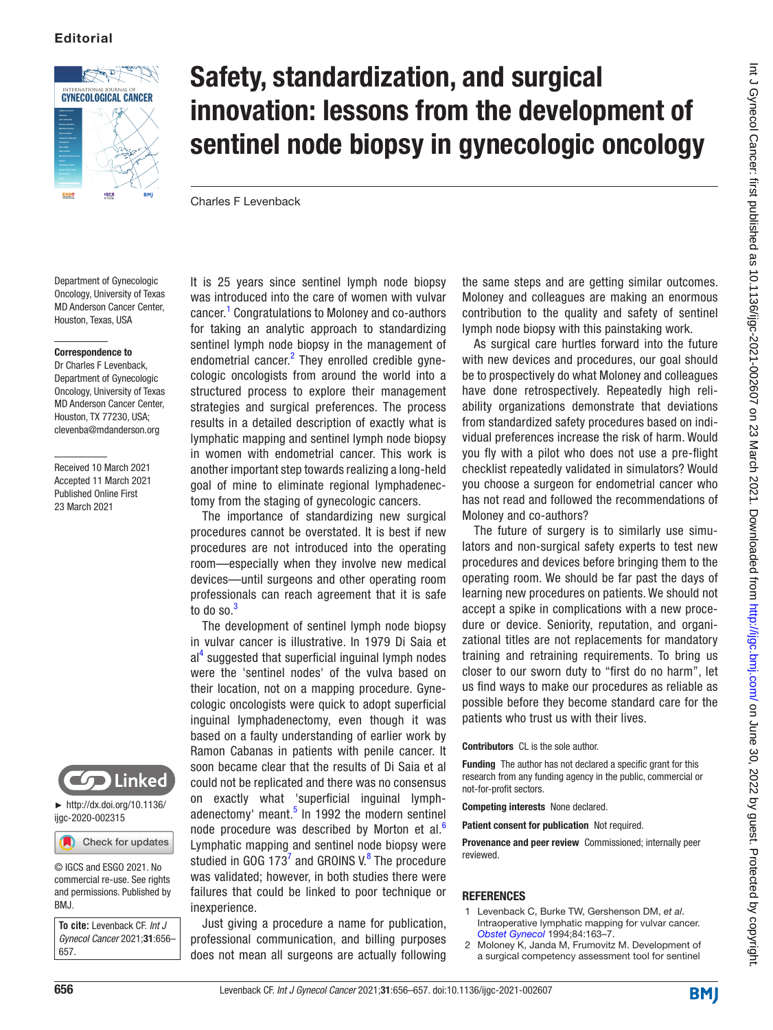

## Safety, standardization, and surgical innovation: lessons from the development of sentinel node biopsy in gynecologic oncology

Charles F Levenback

Department of Gynecologic Oncology, University of Texas MD Anderson Cancer Center, Houston, Texas, USA

## Correspondence to

Dr Charles F Levenback, Department of Gynecologic Oncology, University of Texas MD Anderson Cancer Center, Houston, TX 77230, USA; clevenba@mdanderson.org

Received 10 March 2021 Accepted 11 March 2021 Published Online First 23 March 2021



 $\blacktriangleright$  [http://dx.doi.org/10.1136/](http://​dx.​doi.​org/​10.​1136/ijgc-2020-002315) [ijgc-2020-002315](http://​dx.​doi.​org/​10.​1136/ijgc-2020-002315)

Check for updates

© IGCS and ESGO 2021. No commercial re-use. See rights and permissions. Published by BMJ.

**To cite:** Levenback CF. *Int J Gynecol Cancer* 2021;31:656– 657.

It is 25 years since sentinel lymph node biopsy was introduced into the care of women with vulvar cancer.<sup>[1](#page-0-0)</sup> Congratulations to Moloney and co-authors for taking an analytic approach to standardizing sentinel lymph node biopsy in the management of endometrial cancer.<sup>[2](#page-0-1)</sup> They enrolled credible gynecologic oncologists from around the world into a structured process to explore their management strategies and surgical preferences. The process results in a detailed description of exactly what is lymphatic mapping and sentinel lymph node biopsy in women with endometrial cancer. This work is another important step towards realizing a long-held goal of mine to eliminate regional lymphadenectomy from the staging of gynecologic cancers.

The importance of standardizing new surgical procedures cannot be overstated. It is best if new procedures are not introduced into the operating room—especially when they involve new medical devices—until surgeons and other operating room professionals can reach agreement that it is safe to do so. $3$ 

The development of sentinel lymph node biopsy in vulvar cancer is illustrative. In 1979 Di Saia et al<sup>[4](#page-1-1)</sup> suggested that superficial inguinal lymph nodes were the 'sentinel nodes' of the vulva based on their location, not on a mapping procedure. Gynecologic oncologists were quick to adopt superficial inguinal lymphadenectomy, even though it was based on a faulty understanding of earlier work by Ramon Cabanas in patients with penile cancer. It soon became clear that the results of Di Saia et al could not be replicated and there was no consensus on exactly what 'superficial inguinal lymph-adenectomy' meant.<sup>[5](#page-1-2)</sup> In 1992 the modern sentinel node procedure was described by Morton et al. $<sup>6</sup>$  $<sup>6</sup>$  $<sup>6</sup>$ </sup> Lymphatic mapping and sentinel node biopsy were studied in GOG 1[7](#page-1-4)3<sup>7</sup> and GROINS V. $^8$  $^8$  The procedure was validated; however, in both studies there were failures that could be linked to poor technique or inexperience.

Just giving a procedure a name for publication, professional communication, and billing purposes does not mean all surgeons are actually following

the same steps and are getting similar outcomes. Moloney and colleagues are making an enormous contribution to the quality and safety of sentinel lymph node biopsy with this painstaking work.

As surgical care hurtles forward into the future with new devices and procedures, our goal should be to prospectively do what Moloney and colleagues have done retrospectively. Repeatedly high reliability organizations demonstrate that deviations from standardized safety procedures based on individual preferences increase the risk of harm. Would you fly with a pilot who does not use a pre-flight checklist repeatedly validated in simulators? Would you choose a surgeon for endometrial cancer who has not read and followed the recommendations of Moloney and co-authors?

The future of surgery is to similarly use simulators and non-surgical safety experts to test new procedures and devices before bringing them to the operating room. We should be far past the days of learning new procedures on patients. We should not accept a spike in complications with a new procedure or device. Seniority, reputation, and organizational titles are not replacements for mandatory training and retraining requirements. To bring us closer to our sworn duty to "first do no harm", let us find ways to make our procedures as reliable as possible before they become standard care for the patients who trust us with their lives.

Contributors CL is the sole author.

Funding The author has not declared a specific grant for this research from any funding agency in the public, commercial or not-for-profit sectors.

Competing interests None declared.

Patient consent for publication Not required.

Provenance and peer review Commissioned; internally peer reviewed.

## **REFERENCES**

- <span id="page-0-0"></span>1 Levenback C, Burke TW, Gershenson DM, *et al*. Intraoperative lymphatic mapping for vulvar cancer. *[Obstet Gynecol](http://www.ncbi.nlm.nih.gov/pubmed/8041523)* 1994;84:163–7.
- <span id="page-0-1"></span>2 Moloney K, Janda M, Frumovitz M. Development of a surgical competency assessment tool for sentinel

**BMJ**